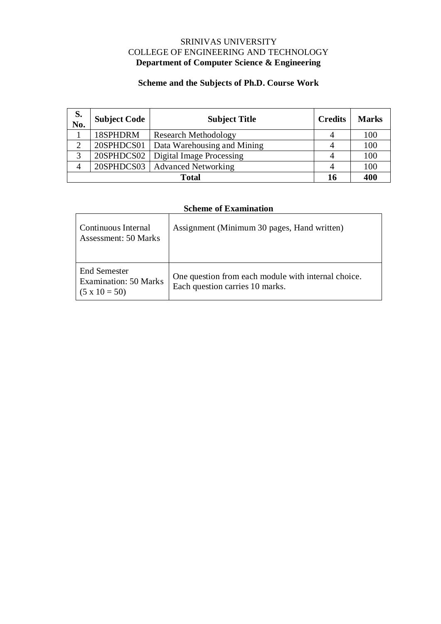## SRINIVAS UNIVERSITY COLLEGE OF ENGINEERING AND TECHNOLOGY **Department of Computer Science & Engineering**

# **Scheme and the Subjects of Ph.D. Course Work**

| S.<br>No.     | <b>Subject Code</b> | <b>Subject Title</b>             | <b>Credits</b> | <b>Marks</b> |
|---------------|---------------------|----------------------------------|----------------|--------------|
|               | 18SPHDRM            | <b>Research Methodology</b>      |                | 100          |
| $\mathcal{D}$ | 20SPHDCS01          | Data Warehousing and Mining      | 4              | 100          |
| 3             | 20SPHDCS02          | <b>Digital Image Processing</b>  |                | 100          |
| 4             |                     | 20SPHDCS03   Advanced Networking |                | 100          |
| <b>Total</b>  |                     |                                  |                | 400          |

# **Scheme of Examination**

| Continuous Internal<br>Assessment: 50 Marks                          | Assignment (Minimum 30 pages, Hand written)                                            |  |
|----------------------------------------------------------------------|----------------------------------------------------------------------------------------|--|
| End Semester<br><b>Examination: 50 Marks</b><br>$(5 \times 10 = 50)$ | One question from each module with internal choice.<br>Each question carries 10 marks. |  |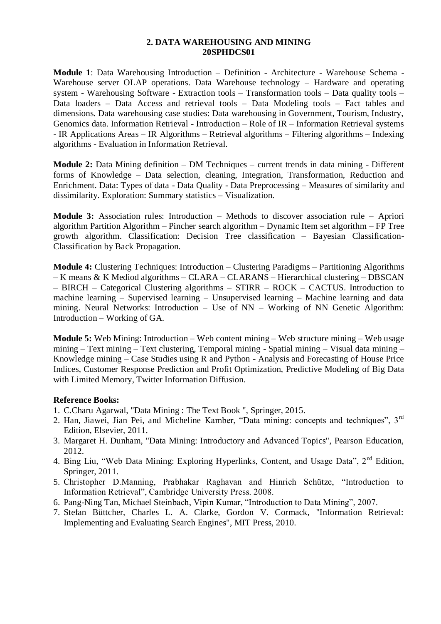#### **2. DATA WAREHOUSING AND MINING 20SPHDCS01**

**Module 1**: Data Warehousing Introduction – Definition - Architecture - Warehouse Schema - Warehouse server OLAP operations. Data Warehouse technology – Hardware and operating system - Warehousing Software - Extraction tools – Transformation tools – Data quality tools – Data loaders – Data Access and retrieval tools – Data Modeling tools – Fact tables and dimensions. Data warehousing case studies: Data warehousing in Government, Tourism, Industry, Genomics data. Information Retrieval - Introduction – Role of IR – Information Retrieval systems - IR Applications Areas – IR Algorithms – Retrieval algorithms – Filtering algorithms – Indexing algorithms - Evaluation in Information Retrieval.

**Module 2:** Data Mining definition – DM Techniques – current trends in data mining - Different forms of Knowledge – Data selection, cleaning, Integration, Transformation, Reduction and Enrichment. Data: Types of data - Data Quality - Data Preprocessing – Measures of similarity and dissimilarity. Exploration: Summary statistics – Visualization.

**Module 3:** Association rules: Introduction – Methods to discover association rule – Apriori algorithm Partition Algorithm – Pincher search algorithm – Dynamic Item set algorithm – FP Tree growth algorithm. Classification: Decision Tree classification – Bayesian Classification-Classification by Back Propagation.

**Module 4:** Clustering Techniques: Introduction – Clustering Paradigms – Partitioning Algorithms – K means & K Mediod algorithms – CLARA – CLARANS – Hierarchical clustering – DBSCAN – BIRCH – Categorical Clustering algorithms – STIRR – ROCK – CACTUS. Introduction to machine learning – Supervised learning – Unsupervised learning – Machine learning and data mining. Neural Networks: Introduction – Use of NN – Working of NN Genetic Algorithm: Introduction – Working of GA.

**Module 5:** Web Mining: Introduction – Web content mining – Web structure mining – Web usage mining – Text mining – Text clustering, Temporal mining - Spatial mining – Visual data mining – Knowledge mining – Case Studies using R and Python - Analysis and Forecasting of House Price Indices, Customer Response Prediction and Profit Optimization, Predictive Modeling of Big Data with Limited Memory, Twitter Information Diffusion.

## **Reference Books:**

- 1. C.Charu Agarwal, "Data Mining : The Text Book ", Springer, 2015.
- 2. Han, Jiawei, Jian Pei, and Micheline Kamber, "Data mining: concepts and techniques", 3rd Edition, Elsevier, 2011.
- 3. Margaret H. Dunham, "Data Mining: Introductory and Advanced Topics", Pearson Education, 2012.
- 4. Bing Liu, "Web Data Mining: Exploring Hyperlinks, Content, and Usage Data", 2<sup>nd</sup> Edition. Springer, 2011.
- 5. Christopher D.Manning, Prabhakar Raghavan and Hinrich Schütze, "Introduction to Information Retrieval", Cambridge University Press. 2008.
- 6. Pang-Ning Tan, Michael Steinbach, Vipin Kumar, "Introduction to Data Mining", 2007.
- 7. Stefan Büttcher, Charles L. A. Clarke, Gordon V. Cormack, "Information Retrieval: Implementing and Evaluating Search Engines", MIT Press, 2010.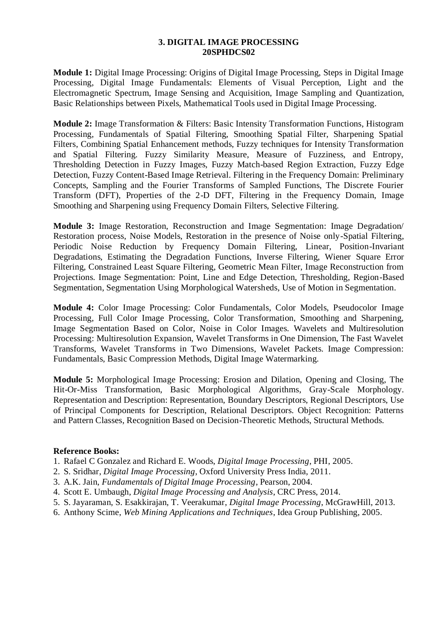#### **3. DIGITAL IMAGE PROCESSING 20SPHDCS02**

**Module 1:** Digital Image Processing: Origins of Digital Image Processing, Steps in Digital Image Processing, Digital Image Fundamentals: Elements of Visual Perception, Light and the Electromagnetic Spectrum, Image Sensing and Acquisition, Image Sampling and Quantization, Basic Relationships between Pixels, Mathematical Tools used in Digital Image Processing.

**Module 2:** Image Transformation & Filters: Basic Intensity Transformation Functions, Histogram Processing, Fundamentals of Spatial Filtering, Smoothing Spatial Filter, Sharpening Spatial Filters, Combining Spatial Enhancement methods, Fuzzy techniques for Intensity Transformation and Spatial Filtering. Fuzzy Similarity Measure, Measure of Fuzziness, and Entropy, Thresholding Detection in Fuzzy Images, Fuzzy Match-based Region Extraction, Fuzzy Edge Detection, Fuzzy Content-Based Image Retrieval. Filtering in the Frequency Domain: Preliminary Concepts, Sampling and the Fourier Transforms of Sampled Functions, The Discrete Fourier Transform (DFT), Properties of the 2-D DFT, Filtering in the Frequency Domain, Image Smoothing and Sharpening using Frequency Domain Filters, Selective Filtering.

**Module 3:** Image Restoration, Reconstruction and Image Segmentation: Image Degradation/ Restoration process, Noise Models, Restoration in the presence of Noise only-Spatial Filtering, Periodic Noise Reduction by Frequency Domain Filtering, Linear, Position-Invariant Degradations, Estimating the Degradation Functions, Inverse Filtering, Wiener Square Error Filtering, Constrained Least Square Filtering, Geometric Mean Filter, Image Reconstruction from Projections. Image Segmentation: Point, Line and Edge Detection, Thresholding, Region-Based Segmentation, Segmentation Using Morphological Watersheds, Use of Motion in Segmentation.

**Module 4:** Color Image Processing: Color Fundamentals, Color Models, Pseudocolor Image Processing, Full Color Image Processing, Color Transformation, Smoothing and Sharpening, Image Segmentation Based on Color, Noise in Color Images. Wavelets and Multiresolution Processing: Multiresolution Expansion, Wavelet Transforms in One Dimension, The Fast Wavelet Transforms, Wavelet Transforms in Two Dimensions, Wavelet Packets. Image Compression: Fundamentals, Basic Compression Methods, Digital Image Watermarking.

**Module 5:** Morphological Image Processing: Erosion and Dilation, Opening and Closing, The Hit-Or-Miss Transformation, Basic Morphological Algorithms, Gray-Scale Morphology. Representation and Description: Representation, Boundary Descriptors, Regional Descriptors, Use of Principal Components for Description, Relational Descriptors. Object Recognition: Patterns and Pattern Classes, Recognition Based on Decision-Theoretic Methods, Structural Methods.

## **Reference Books:**

- 1. Rafael C Gonzalez and Richard E. Woods, *Digital Image Processing*, PHI, 2005.
- 2. S. Sridhar, *Digital Image Processing*, Oxford University Press India, 2011.
- 3. A.K. Jain, *Fundamentals of Digital Image Processing*, Pearson, 2004.
- 4. Scott E. Umbaugh, *Digital Image Processing and Analysis*, CRC Press, 2014.
- 5. S. Jayaraman, S. Esakkirajan, T. Veerakumar, *Digital Image Processing*, McGrawHill, 2013.
- 6. Anthony Scime, *Web Mining Applications and Techniques*, Idea Group Publishing, 2005.